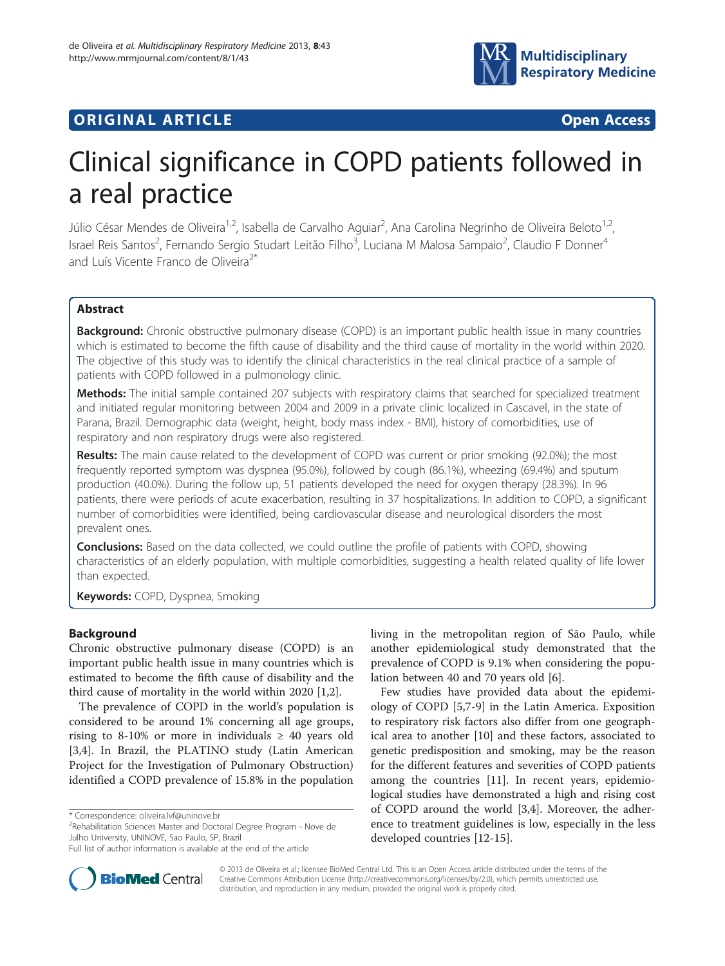

# **ORIGINAL ARTICLE CONSUMING A LIGACION CONSUMING A LIGACION CONSUMING A LIGACION**

# Clinical significance in COPD patients followed in a real practice

Júlio César Mendes de Oliveira<sup>1,2</sup>, Isabella de Carvalho Aguiar<sup>2</sup>, Ana Carolina Negrinho de Oliveira Beloto<sup>1,2</sup>, Israel Reis Santos<sup>2</sup>, Fernando Sergio Studart Leitão Filho<sup>3</sup>, Luciana M Malosa Sampaio<sup>2</sup>, Claudio F Donner<sup>4</sup> and Luís Vicente Franco de Oliveira<sup>2\*</sup>

# Abstract

**Background:** Chronic obstructive pulmonary disease (COPD) is an important public health issue in many countries which is estimated to become the fifth cause of disability and the third cause of mortality in the world within 2020. The objective of this study was to identify the clinical characteristics in the real clinical practice of a sample of patients with COPD followed in a pulmonology clinic.

Methods: The initial sample contained 207 subjects with respiratory claims that searched for specialized treatment and initiated regular monitoring between 2004 and 2009 in a private clinic localized in Cascavel, in the state of Parana, Brazil. Demographic data (weight, height, body mass index - BMI), history of comorbidities, use of respiratory and non respiratory drugs were also registered.

Results: The main cause related to the development of COPD was current or prior smoking (92.0%); the most frequently reported symptom was dyspnea (95.0%), followed by cough (86.1%), wheezing (69.4%) and sputum production (40.0%). During the follow up, 51 patients developed the need for oxygen therapy (28.3%). In 96 patients, there were periods of acute exacerbation, resulting in 37 hospitalizations. In addition to COPD, a significant number of comorbidities were identified, being cardiovascular disease and neurological disorders the most prevalent ones.

**Conclusions:** Based on the data collected, we could outline the profile of patients with COPD, showing characteristics of an elderly population, with multiple comorbidities, suggesting a health related quality of life lower than expected.

Keywords: COPD, Dyspnea, Smoking

# Background

Chronic obstructive pulmonary disease (COPD) is an important public health issue in many countries which is estimated to become the fifth cause of disability and the third cause of mortality in the world within 2020 [[1](#page-4-0),[2\]](#page-4-0).

The prevalence of COPD in the world's population is considered to be around 1% concerning all age groups, rising to 8-10% or more in individuals  $\geq$  40 years old [[3,4\]](#page-4-0). In Brazil, the PLATINO study (Latin American Project for the Investigation of Pulmonary Obstruction) identified a COPD prevalence of 15.8% in the population

\* Correspondence: [oliveira.lvf@uninove.br](mailto:oliveira.lvf@uninove.br) <sup>2</sup>

<sup>2</sup>Rehabilitation Sciences Master and Doctoral Degree Program - Nove de Julho University, UNINOVE, Sao Paulo, SP, Brazil

living in the metropolitan region of São Paulo, while another epidemiological study demonstrated that the prevalence of COPD is 9.1% when considering the population between 40 and 70 years old [[6\]](#page-4-0).

Few studies have provided data about the epidemiology of COPD [\[5,7](#page-4-0)-[9\]](#page-4-0) in the Latin America. Exposition to respiratory risk factors also differ from one geographical area to another [[10](#page-4-0)] and these factors, associated to genetic predisposition and smoking, may be the reason for the different features and severities of COPD patients among the countries [\[11\]](#page-4-0). In recent years, epidemiological studies have demonstrated a high and rising cost of COPD around the world [\[3](#page-4-0),[4](#page-4-0)]. Moreover, the adherence to treatment guidelines is low, especially in the less developed countries [[12-15\]](#page-4-0).



© 2013 de Oliveira et al.; licensee BioMed Central Ltd. This is an Open Access article distributed under the terms of the Creative Commons Attribution License (<http://creativecommons.org/licenses/by/2.0>), which permits unrestricted use, distribution, and reproduction in any medium, provided the original work is properly cited.

Full list of author information is available at the end of the article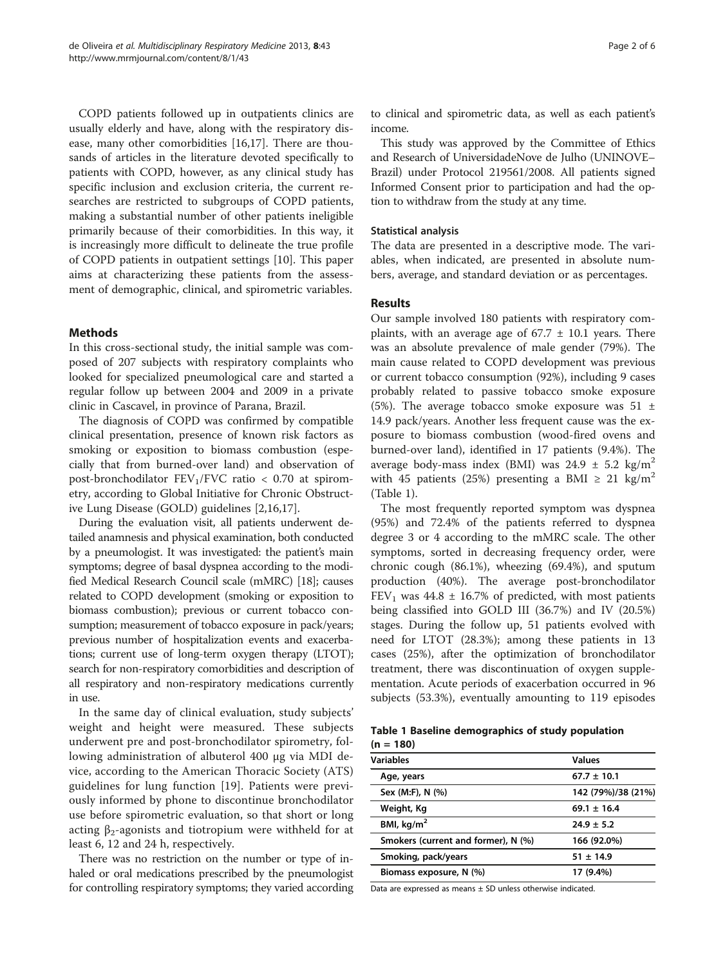COPD patients followed up in outpatients clinics are usually elderly and have, along with the respiratory disease, many other comorbidities [\[16,17](#page-4-0)]. There are thousands of articles in the literature devoted specifically to patients with COPD, however, as any clinical study has specific inclusion and exclusion criteria, the current researches are restricted to subgroups of COPD patients, making a substantial number of other patients ineligible primarily because of their comorbidities. In this way, it is increasingly more difficult to delineate the true profile of COPD patients in outpatient settings [[10\]](#page-4-0). This paper aims at characterizing these patients from the assessment of demographic, clinical, and spirometric variables.

# **Methods**

In this cross-sectional study, the initial sample was composed of 207 subjects with respiratory complaints who looked for specialized pneumological care and started a regular follow up between 2004 and 2009 in a private clinic in Cascavel, in province of Parana, Brazil.

The diagnosis of COPD was confirmed by compatible clinical presentation, presence of known risk factors as smoking or exposition to biomass combustion (especially that from burned-over land) and observation of post-bronchodilator  $FEV<sub>1</sub>/FVC$  ratio < 0.70 at spirometry, according to Global Initiative for Chronic Obstructive Lung Disease (GOLD) guidelines [\[2,16,17](#page-4-0)].

During the evaluation visit, all patients underwent detailed anamnesis and physical examination, both conducted by a pneumologist. It was investigated: the patient's main symptoms; degree of basal dyspnea according to the modified Medical Research Council scale (mMRC) [\[18\]](#page-4-0); causes related to COPD development (smoking or exposition to biomass combustion); previous or current tobacco consumption; measurement of tobacco exposure in pack/years; previous number of hospitalization events and exacerbations; current use of long-term oxygen therapy (LTOT); search for non-respiratory comorbidities and description of all respiratory and non-respiratory medications currently in use.

In the same day of clinical evaluation, study subjects' weight and height were measured. These subjects underwent pre and post-bronchodilator spirometry, following administration of albuterol 400 μg via MDI device, according to the American Thoracic Society (ATS) guidelines for lung function [[19\]](#page-4-0). Patients were previously informed by phone to discontinue bronchodilator use before spirometric evaluation, so that short or long acting  $β_2$ -agonists and tiotropium were withheld for at least 6, 12 and 24 h, respectively.

There was no restriction on the number or type of inhaled or oral medications prescribed by the pneumologist for controlling respiratory symptoms; they varied according

to clinical and spirometric data, as well as each patient's income.

This study was approved by the Committee of Ethics and Research of UniversidadeNove de Julho (UNINOVE– Brazil) under Protocol 219561/2008. All patients signed Informed Consent prior to participation and had the option to withdraw from the study at any time.

#### Statistical analysis

The data are presented in a descriptive mode. The variables, when indicated, are presented in absolute numbers, average, and standard deviation or as percentages.

#### Results

Our sample involved 180 patients with respiratory complaints, with an average age of  $67.7 \pm 10.1$  years. There was an absolute prevalence of male gender (79%). The main cause related to COPD development was previous or current tobacco consumption (92%), including 9 cases probably related to passive tobacco smoke exposure (5%). The average tobacco smoke exposure was  $51 \pm$ 14.9 pack/years. Another less frequent cause was the exposure to biomass combustion (wood-fired ovens and burned-over land), identified in 17 patients (9.4%). The average body-mass index (BMI) was  $24.9 \pm 5.2$  kg/m<sup>2</sup> with 45 patients (25%) presenting a BMI  $\geq$  21 kg/m<sup>2</sup> (Table 1).

The most frequently reported symptom was dyspnea (95%) and 72.4% of the patients referred to dyspnea degree 3 or 4 according to the mMRC scale. The other symptoms, sorted in decreasing frequency order, were chronic cough (86.1%), wheezing (69.4%), and sputum production (40%). The average post-bronchodilator FEV<sub>1</sub> was 44.8  $\pm$  16.7% of predicted, with most patients being classified into GOLD III (36.7%) and IV (20.5%) stages. During the follow up, 51 patients evolved with need for LTOT (28.3%); among these patients in 13 cases (25%), after the optimization of bronchodilator treatment, there was discontinuation of oxygen supplementation. Acute periods of exacerbation occurred in 96 subjects (53.3%), eventually amounting to 119 episodes

| Table 1 Baseline demographics of study population |  |  |
|---------------------------------------------------|--|--|
| $(n = 180)$                                       |  |  |

| <b>Variables</b>                    | <b>Values</b>      |
|-------------------------------------|--------------------|
| Age, years                          | $67.7 \pm 10.1$    |
| Sex (M:F), N (%)                    | 142 (79%)/38 (21%) |
| Weight, Kg                          | $69.1 \pm 16.4$    |
| BMI, $kg/m2$                        | $24.9 \pm 5.2$     |
| Smokers (current and former), N (%) | 166 (92.0%)        |
| Smoking, pack/years                 | $51 \pm 14.9$      |
| Biomass exposure, N (%)             | 17 (9.4%)          |
|                                     |                    |

Data are expressed as means  $\pm$  SD unless otherwise indicated.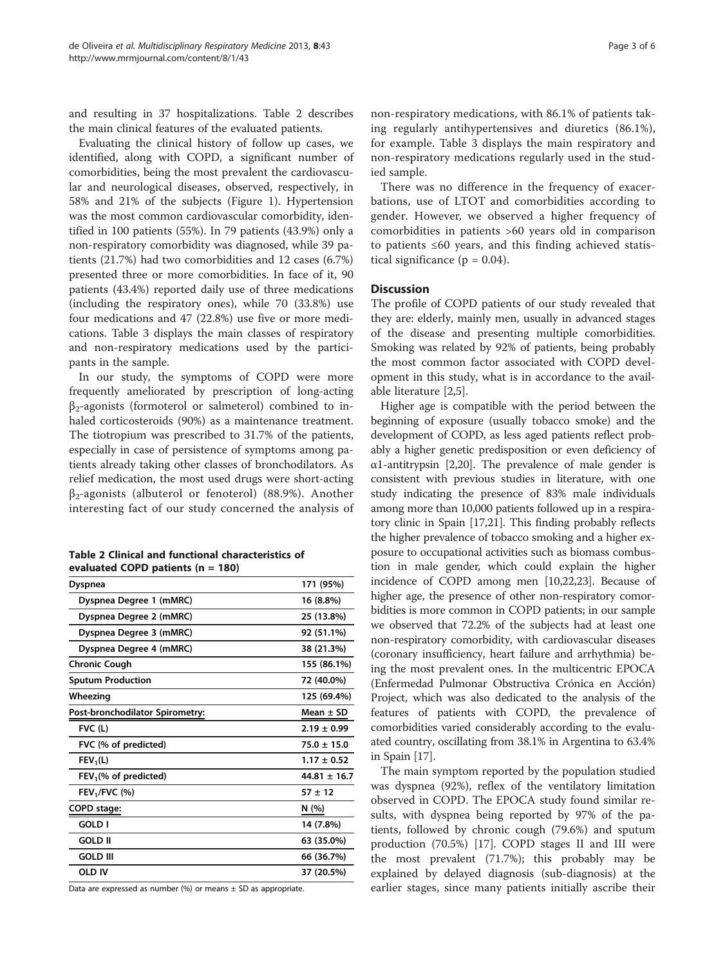and resulting in 37 hospitalizations. Table 2 describes the main clinical features of the evaluated patients.

Evaluating the clinical history of follow up cases, we identified, along with COPD, a significant number of comorbidities, being the most prevalent the cardiovascular and neurological diseases, observed, respectively, in 58% and 21% of the subjects (Figure [1](#page-3-0)). Hypertension was the most common cardiovascular comorbidity, identified in 100 patients (55%). In 79 patients (43.9%) only a non-respiratory comorbidity was diagnosed, while 39 patients (21.7%) had two comorbidities and 12 cases (6.7%) presented three or more comorbidities. In face of it, 90 patients (43.4%) reported daily use of three medications (including the respiratory ones), while 70 (33.8%) use four medications and 47 (22.8%) use five or more medications. Table [3](#page-3-0) displays the main classes of respiratory and non-respiratory medications used by the participants in the sample.

In our study, the symptoms of COPD were more frequently ameliorated by prescription of long-acting  $\beta_2$ -agonists (formoterol or salmeterol) combined to inhaled corticosteroids (90%) as a maintenance treatment. The tiotropium was prescribed to 31.7% of the patients, especially in case of persistence of symptoms among patients already taking other classes of bronchodilators. As relief medication, the most used drugs were short-acting β2-agonists (albuterol or fenoterol) (88.9%). Another interesting fact of our study concerned the analysis of

| Table 2 Clinical and functional characteristics of |
|----------------------------------------------------|
| evaluated COPD patients ( $n = 180$ )              |

| <b>Dyspnea</b>                    | 171 (95%)        |
|-----------------------------------|------------------|
| Dyspnea Degree 1 (mMRC)           | 16 (8.8%)        |
|                                   |                  |
| Dyspnea Degree 2 (mMRC)           | 25 (13.8%)       |
| Dyspnea Degree 3 (mMRC)           | 92 (51.1%)       |
| Dyspnea Degree 4 (mMRC)           | 38 (21.3%)       |
| <b>Chronic Cough</b>              | 155 (86.1%)      |
| <b>Sputum Production</b>          | 72 (40.0%)       |
| Wheezing                          | 125 (69.4%)      |
| Post-bronchodilator Spirometry:   | Mean $\pm$ SD    |
| $FVC$ (L)                         | $2.19 \pm 0.99$  |
| FVC (% of predicted)              | $75.0 \pm 15.0$  |
| $FEV_1(L)$                        | $1.17 \pm 0.52$  |
| FEV <sub>1</sub> (% of predicted) | $44.81 \pm 16.7$ |
| $FEV1/FVC$ (%)                    | $57 + 12$        |
| COPD stage:                       | N(%)             |
| GOLD I                            | 14 (7.8%)        |
| <b>GOLD II</b>                    | 63 (35.0%)       |
| <b>GOLD III</b>                   | 66 (36.7%)       |
| <b>OLD IV</b>                     | 37 (20.5%)       |

Data are expressed as number  $%$  or means  $\pm$  SD as appropriate.

non-respiratory medications, with 86.1% of patients taking regularly antihypertensives and diuretics (86.1%), for example. Table [3](#page-3-0) displays the main respiratory and non-respiratory medications regularly used in the studied sample.

There was no difference in the frequency of exacerbations, use of LTOT and comorbidities according to gender. However, we observed a higher frequency of comorbidities in patients >60 years old in comparison to patients ≤60 years, and this finding achieved statistical significance ( $p = 0.04$ ).

#### **Discussion**

The profile of COPD patients of our study revealed that they are: elderly, mainly men, usually in advanced stages of the disease and presenting multiple comorbidities. Smoking was related by 92% of patients, being probably the most common factor associated with COPD development in this study, what is in accordance to the available literature [[2](#page-4-0),[5\]](#page-4-0).

Higher age is compatible with the period between the beginning of exposure (usually tobacco smoke) and the development of COPD, as less aged patients reflect probably a higher genetic predisposition or even deficiency of α1-antitrypsin [\[2,20](#page-4-0)]. The prevalence of male gender is consistent with previous studies in literature, with one study indicating the presence of 83% male individuals among more than 10,000 patients followed up in a respiratory clinic in Spain [\[17,](#page-4-0)[21](#page-5-0)]. This finding probably reflects the higher prevalence of tobacco smoking and a higher exposure to occupational activities such as biomass combustion in male gender, which could explain the higher incidence of COPD among men [[10](#page-4-0)[,22,23](#page-5-0)]. Because of higher age, the presence of other non-respiratory comorbidities is more common in COPD patients; in our sample we observed that 72.2% of the subjects had at least one non-respiratory comorbidity, with cardiovascular diseases (coronary insufficiency, heart failure and arrhythmia) being the most prevalent ones. In the multicentric EPOCA (Enfermedad Pulmonar Obstructiva Crónica en Acción) Project, which was also dedicated to the analysis of the features of patients with COPD, the prevalence of comorbidities varied considerably according to the evaluated country, oscillating from 38.1% in Argentina to 63.4% in Spain [\[17\]](#page-4-0).

The main symptom reported by the population studied was dyspnea (92%), reflex of the ventilatory limitation observed in COPD. The EPOCA study found similar results, with dyspnea being reported by 97% of the patients, followed by chronic cough (79.6%) and sputum production (70.5%) [[17\]](#page-4-0). COPD stages II and III were the most prevalent (71.7%); this probably may be explained by delayed diagnosis (sub-diagnosis) at the earlier stages, since many patients initially ascribe their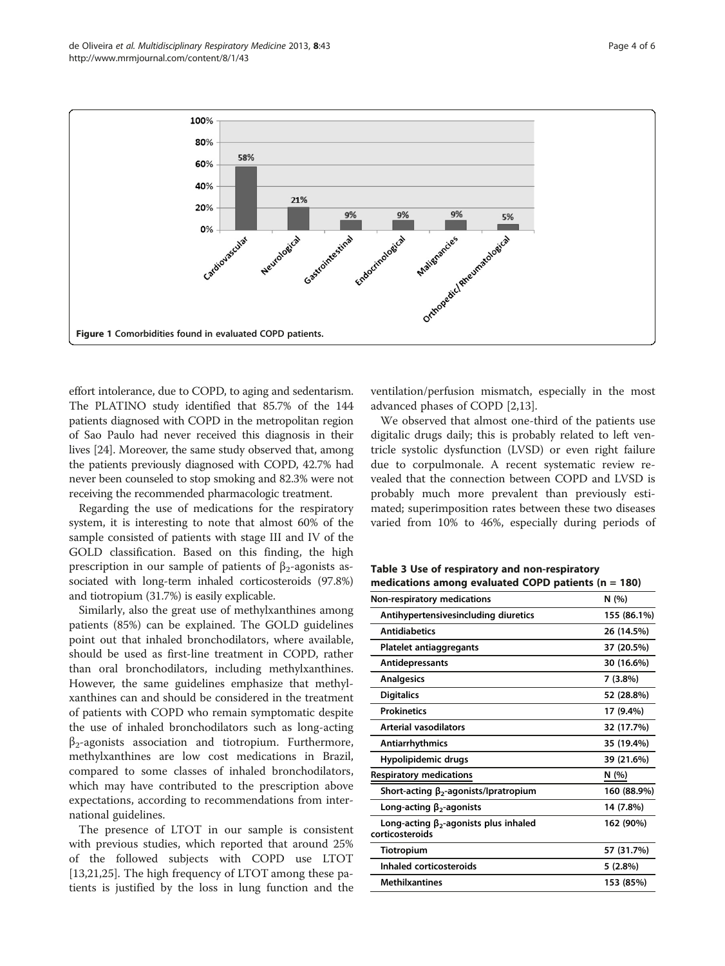<span id="page-3-0"></span>

effort intolerance, due to COPD, to aging and sedentarism. The PLATINO study identified that 85.7% of the 144 patients diagnosed with COPD in the metropolitan region of Sao Paulo had never received this diagnosis in their lives [\[24\]](#page-5-0). Moreover, the same study observed that, among the patients previously diagnosed with COPD, 42.7% had never been counseled to stop smoking and 82.3% were not receiving the recommended pharmacologic treatment.

Regarding the use of medications for the respiratory system, it is interesting to note that almost 60% of the sample consisted of patients with stage III and IV of the GOLD classification. Based on this finding, the high prescription in our sample of patients of  $\beta_2$ -agonists associated with long-term inhaled corticosteroids (97.8%) and tiotropium (31.7%) is easily explicable.

Similarly, also the great use of methylxanthines among patients (85%) can be explained. The GOLD guidelines point out that inhaled bronchodilators, where available, should be used as first-line treatment in COPD, rather than oral bronchodilators, including methylxanthines. However, the same guidelines emphasize that methylxanthines can and should be considered in the treatment of patients with COPD who remain symptomatic despite the use of inhaled bronchodilators such as long-acting  $\beta_2$ -agonists association and tiotropium. Furthermore, methylxanthines are low cost medications in Brazil, compared to some classes of inhaled bronchodilators, which may have contributed to the prescription above expectations, according to recommendations from international guidelines.

The presence of LTOT in our sample is consistent with previous studies, which reported that around 25% of the followed subjects with COPD use LTOT [[13,](#page-4-0)[21,25\]](#page-5-0). The high frequency of LTOT among these patients is justified by the loss in lung function and the

ventilation/perfusion mismatch, especially in the most advanced phases of COPD [[2](#page-4-0),[13](#page-4-0)].

We observed that almost one-third of the patients use digitalic drugs daily; this is probably related to left ventricle systolic dysfunction (LVSD) or even right failure due to corpulmonale. A recent systematic review revealed that the connection between COPD and LVSD is probably much more prevalent than previously estimated; superimposition rates between these two diseases varied from 10% to 46%, especially during periods of

Table 3 Use of respiratory and non-respiratory medications among evaluated COPD patients ( $n = 180$ )

| Non-respiratory medications                                     | N (%)       |
|-----------------------------------------------------------------|-------------|
| Antihypertensivesincluding diuretics                            | 155 (86.1%) |
| <b>Antidiabetics</b>                                            | 26 (14.5%)  |
| Platelet antiaggregants                                         | 37 (20.5%)  |
| <b>Antidepressants</b>                                          | 30 (16.6%)  |
| <b>Analgesics</b>                                               | 7 (3.8%)    |
| <b>Digitalics</b>                                               | 52 (28.8%)  |
| <b>Prokinetics</b>                                              | 17 (9.4%)   |
| <b>Arterial vasodilators</b>                                    | 32 (17.7%)  |
| Antiarrhythmics                                                 | 35 (19.4%)  |
| Hypolipidemic drugs                                             | 39 (21.6%)  |
| <b>Respiratory medications</b>                                  | N(%)        |
| Short-acting $\beta_2$ -agonists/Ipratropium                    | 160 (88.9%) |
| Long-acting $\beta_2$ -agonists                                 | 14 (7.8%)   |
| Long-acting $\beta_2$ -agonists plus inhaled<br>corticosteroids | 162 (90%)   |
| <b>Tiotropium</b>                                               | 57 (31.7%)  |
| Inhaled corticosteroids                                         | 5 (2.8%)    |
| <b>Methilxantines</b>                                           | 153 (85%)   |
|                                                                 |             |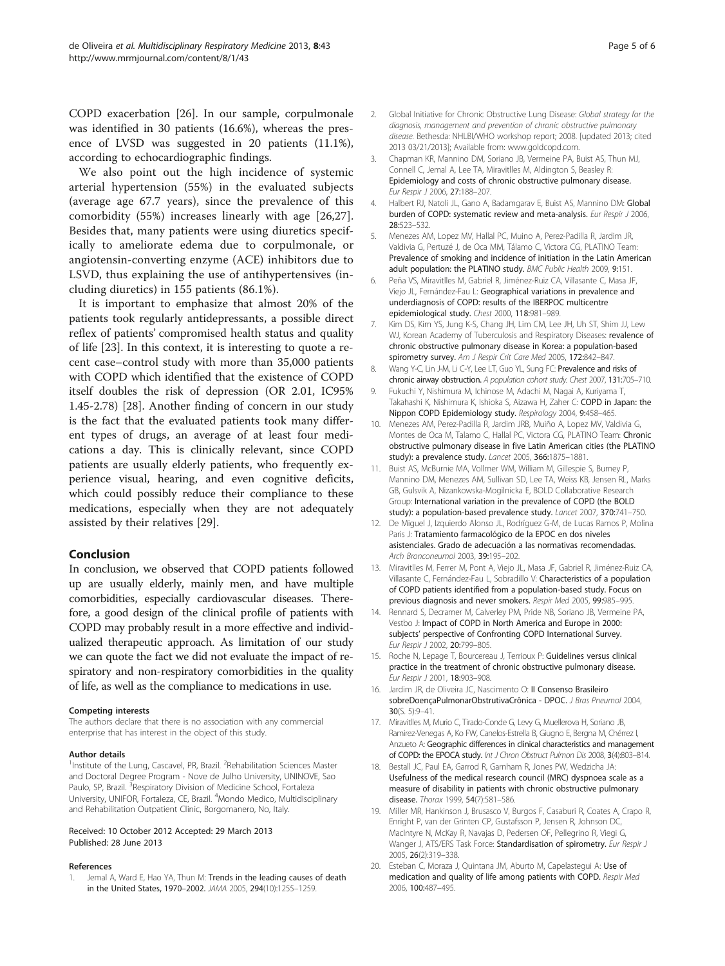<span id="page-4-0"></span>COPD exacerbation [[26](#page-5-0)]. In our sample, corpulmonale was identified in 30 patients (16.6%), whereas the presence of LVSD was suggested in 20 patients (11.1%), according to echocardiographic findings.

We also point out the high incidence of systemic arterial hypertension (55%) in the evaluated subjects (average age 67.7 years), since the prevalence of this comorbidity (55%) increases linearly with age [[26,27](#page-5-0)]. Besides that, many patients were using diuretics specifically to ameliorate edema due to corpulmonale, or angiotensin-converting enzyme (ACE) inhibitors due to LSVD, thus explaining the use of antihypertensives (including diuretics) in 155 patients (86.1%).

It is important to emphasize that almost 20% of the patients took regularly antidepressants, a possible direct reflex of patients' compromised health status and quality of life [\[23](#page-5-0)]. In this context, it is interesting to quote a recent case–control study with more than 35,000 patients with COPD which identified that the existence of COPD itself doubles the risk of depression (OR 2.01, IC95% 1.45-2.78) [[28\]](#page-5-0). Another finding of concern in our study is the fact that the evaluated patients took many different types of drugs, an average of at least four medications a day. This is clinically relevant, since COPD patients are usually elderly patients, who frequently experience visual, hearing, and even cognitive deficits, which could possibly reduce their compliance to these medications, especially when they are not adequately assisted by their relatives [[29\]](#page-5-0).

## Conclusion

In conclusion, we observed that COPD patients followed up are usually elderly, mainly men, and have multiple comorbidities, especially cardiovascular diseases. Therefore, a good design of the clinical profile of patients with COPD may probably result in a more effective and individualized therapeutic approach. As limitation of our study we can quote the fact we did not evaluate the impact of respiratory and non-respiratory comorbidities in the quality of life, as well as the compliance to medications in use.

#### Competing interests

The authors declare that there is no association with any commercial enterprise that has interest in the object of this study.

#### Author details

<sup>1</sup>Institute of the Lung, Cascavel, PR, Brazil. <sup>2</sup>Rehabilitation Sciences Master and Doctoral Degree Program - Nove de Julho University, UNINOVE, Sao Paulo, SP, Brazil. <sup>3</sup>Respiratory Division of Medicine School, Fortaleza University, UNIFOR, Fortaleza, CE, Brazil. <sup>4</sup>Mondo Medico, Multidisciplinary and Rehabilitation Outpatient Clinic, Borgomanero, No, Italy.

#### Received: 10 October 2012 Accepted: 29 March 2013 Published: 28 June 2013

#### References

Jemal A, Ward E, Hao YA, Thun M: Trends in the leading causes of death in the United States, 1970–2002. JAMA 2005, 294(10):1255–1259.

- diagnosis, management and prevention of chronic obstructive pulmonary disease. Bethesda: NHLBI/WHO workshop report; 2008. [updated 2013; cited 2013 03/21/2013]; Available from: www.goldcopd.com.
- 3. Chapman KR, Mannino DM, Soriano JB, Vermeine PA, Buist AS, Thun MJ, Connell C, Jemal A, Lee TA, Miravitlles M, Aldington S, Beasley R: Epidemiology and costs of chronic obstructive pulmonary disease. Eur Respir J 2006, 27:188–207.
- 4. Halbert RJ, Natoli JL, Gano A, Badamgarav E, Buist AS, Mannino DM: Global burden of COPD: systematic review and meta-analysis. Eur Respir J 2006, 28:523–532.
- 5. Menezes AM, Lopez MV, Hallal PC, Muino A, Perez-Padilla R, Jardim JR, Valdivia G, Pertuzé J, de Oca MM, Tálamo C, Victora CG, PLATINO Team: Prevalence of smoking and incidence of initiation in the Latin American adult population: the PLATINO study. BMC Public Health 2009, 9:151.
- 6. Peña VS, Miravitlles M, Gabriel R, Jiménez-Ruiz CA, Villasante C, Masa JF, Viejo JL, Fernández-Fau L: Geographical variations in prevalence and underdiagnosis of COPD: results of the IBERPOC multicentre epidemiological study. Chest 2000, 118:981–989.
- 7. Kim DS, Kim YS, Jung K-S, Chang JH, Lim CM, Lee JH, Uh ST, Shim JJ, Lew WJ, Korean Academy of Tuberculosis and Respiratory Diseases: revalence of chronic obstructive pulmonary disease in Korea: a population-based spirometry survey. Am J Respir Crit Care Med 2005, 172:842-847.
- 8. Wang Y-C, Lin J-M, Li C-Y, Lee LT, Guo YL, Sung FC: Prevalence and risks of chronic airway obstruction. A population cohort study. Chest 2007, 131:705–710.
- 9. Fukuchi Y, Nishimura M, Ichinose M, Adachi M, Nagai A, Kuriyama T, Takahashi K, Nishimura K, Ishioka S, Aizawa H, Zaher C: COPD in Japan: the Nippon COPD Epidemiology study. Respirology 2004, 9:458–465.
- 10. Menezes AM, Perez-Padilla R, Jardim JRB, Muiño A, Lopez MV, Valdivia G, Montes de Oca M, Talamo C, Hallal PC, Victora CG, PLATINO Team: Chronic obstructive pulmonary disease in five Latin American cities (the PLATINO study): a prevalence study. Lancet 2005, 366:1875–1881.
- 11. Buist AS, McBurnie MA, Vollmer WM, William M, Gillespie S, Burney P, Mannino DM, Menezes AM, Sullivan SD, Lee TA, Weiss KB, Jensen RL, Marks GB, Gulsvik A, Nizankowska-Mogilnicka E, BOLD Collaborative Research Group: International variation in the prevalence of COPD (the BOLD study): a population-based prevalence study. Lancet 2007, 370:741–750.
- 12. De Miguel J, Izquierdo Alonso JL, Rodríguez G-M, de Lucas Ramos P, Molina Paris J: Tratamiento farmacológico de la EPOC en dos niveles asistenciales. Grado de adecuación a las normativas recomendadas. Arch Bronconeumol 2003, 39:195–202.
- 13. Miravitlles M, Ferrer M, Pont A, Viejo JL, Masa JF, Gabriel R, Jiménez-Ruiz CA, Villasante C, Fernández-Fau L, Sobradillo V: Characteristics of a population of COPD patients identified from a population-based study. Focus on previous diagnosis and never smokers. Respir Med 2005, 99:985-995.
- 14. Rennard S, Decramer M, Calverley PM, Pride NB, Soriano JB, Vermeine PA, Vestbo J: Impact of COPD in North America and Europe in 2000: subjects' perspective of Confronting COPD International Survey. Eur Respir J 2002, 20:799–805.
- 15. Roche N, Lepage T, Bourcereau J, Terrioux P: Guidelines versus clinical practice in the treatment of chronic obstructive pulmonary disease. Eur Respir J 2001, 18:903–908.
- 16. Jardim JR, de Oliveira JC, Nascimento O: II Consenso Brasileiro sobreDoençaPulmonarObstrutivaCrônica - DPOC. J Bras Pneumol 2004, 30(S. 5):9–41.
- 17. Miravitlles M, Murio C, Tirado-Conde G, Levy G, Muellerova H, Soriano JB, Ramirez-Venegas A, Ko FW, Canelos-Estrella B, Giugno E, Bergna M, Chérrez I, Anzueto A: Geographic differences in clinical characteristics and management of COPD: the EPOCA study. Int J Chron Obstruct Pulmon Dis 2008, 3(4):803–814.
- 18. Bestall JC, Paul EA, Garrod R, Garnham R, Jones PW, Wedzicha JA: Usefulness of the medical research council (MRC) dyspnoea scale as a measure of disability in patients with chronic obstructive pulmonary disease. Thorax 1999, 54(7):581–586.
- 19. Miller MR, Hankinson J, Brusasco V, Burgos F, Casaburi R, Coates A, Crapo R, Enright P, van der Grinten CP, Gustafsson P, Jensen R, Johnson DC, MacIntyre N, McKay R, Navajas D, Pedersen OF, Pellegrino R, Viegi G, Wanger J, ATS/ERS Task Force: Standardisation of spirometry. Eur Respir J 2005, 26(2):319–338.
- 20. Esteban C, Moraza J, Quintana JM, Aburto M, Capelastegui A: Use of medication and quality of life among patients with COPD. Respir Med 2006, 100:487–495.